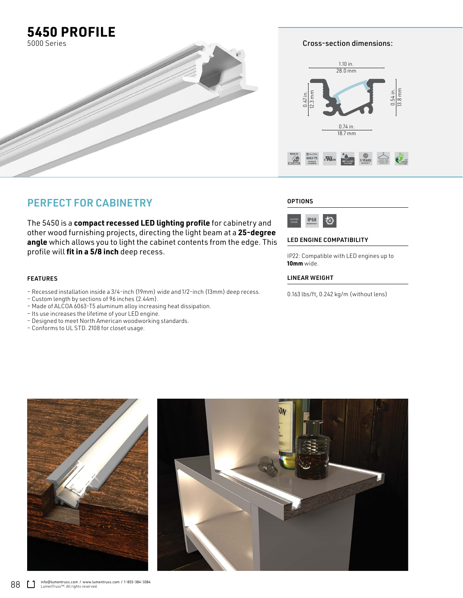

Cross-section dimensions:



## PERFECT FOR CABINETRY

The 5450 is a **compact recessed LED lighting profile** for cabinetry and other wood furnishing projects, directing the light beam at a **25-degree angle** which allows you to light the cabinet contents from the edge. This profile will **fit in a 5/8 inch** deep recess.

### FEATURES

- Recessed installation inside a 3/4-inch (19mm) wide and 1/2-inch (13mm) deep recess.
- Custom length by sections of 96 inches (2.44m).
- Made of ALCOA 6063-T5 aluminum alloy increasing heat dissipation.
- Its use increases the lifetime of your LED engine.
- Designed to meet North American woodworking standards.
- Conforms to UL STD. 2108 for closet usage.

#### **OPTIONS**



#### LED ENGINE COMPATIBILITY

IP22: Compatible with LED engines up to **10mm** wide.

#### LINEAR WEIGHT

0.163 lbs/ft, 0.242 kg/m (without lens)